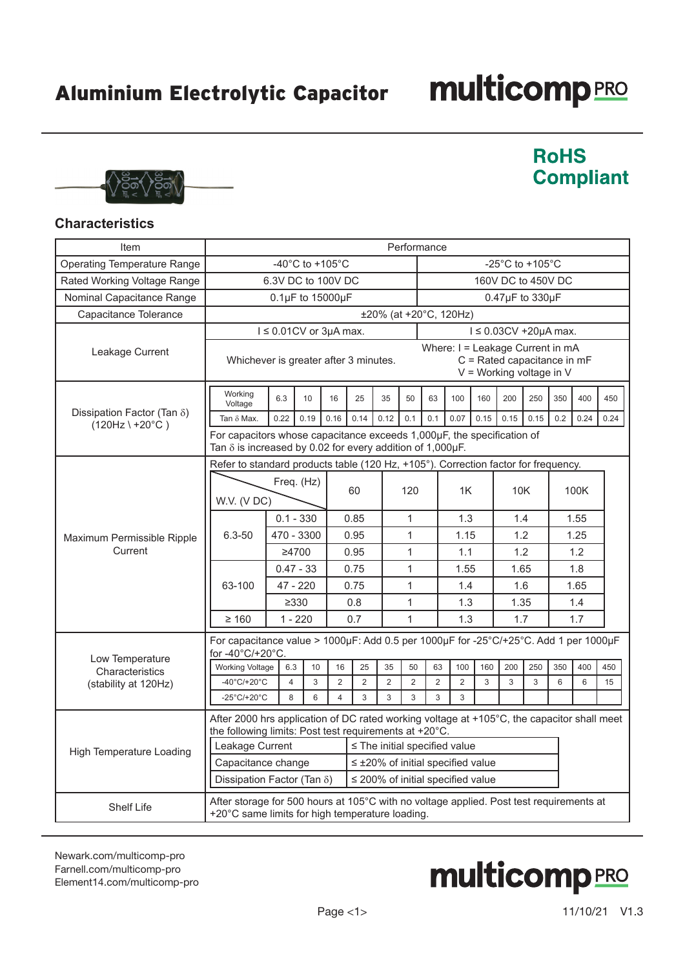## **multicomp**PRO



### **RoHS Compliant**

#### **Characteristics**

| Item                                                              | Performance                                                                                                                                                                                                                                                                                                                                                    |                                                                                                                                            |             |                                       |                     |                |                |                                       |                        |      |                 |      |      |      |      |
|-------------------------------------------------------------------|----------------------------------------------------------------------------------------------------------------------------------------------------------------------------------------------------------------------------------------------------------------------------------------------------------------------------------------------------------------|--------------------------------------------------------------------------------------------------------------------------------------------|-------------|---------------------------------------|---------------------|----------------|----------------|---------------------------------------|------------------------|------|-----------------|------|------|------|------|
| <b>Operating Temperature Range</b>                                |                                                                                                                                                                                                                                                                                                                                                                |                                                                                                                                            |             | -40 $^{\circ}$ C to +105 $^{\circ}$ C |                     |                |                | -25 $^{\circ}$ C to +105 $^{\circ}$ C |                        |      |                 |      |      |      |      |
| Rated Working Voltage Range                                       |                                                                                                                                                                                                                                                                                                                                                                | 6.3V DC to 100V DC                                                                                                                         |             |                                       |                     |                |                | 160V DC to 450V DC                    |                        |      |                 |      |      |      |      |
| Nominal Capacitance Range                                         |                                                                                                                                                                                                                                                                                                                                                                |                                                                                                                                            |             | 0.1µF to 15000µF                      |                     |                |                |                                       |                        |      | 0.47µF to 330µF |      |      |      |      |
| Capacitance Tolerance                                             |                                                                                                                                                                                                                                                                                                                                                                |                                                                                                                                            |             |                                       |                     |                |                |                                       | ±20% (at +20°C, 120Hz) |      |                 |      |      |      |      |
|                                                                   |                                                                                                                                                                                                                                                                                                                                                                | $I \leq 0.01$ CV or 3µA max.<br>$1 \leq 0.03CV + 20\mu A$ max.                                                                             |             |                                       |                     |                |                |                                       |                        |      |                 |      |      |      |      |
| Leakage Current                                                   |                                                                                                                                                                                                                                                                                                                                                                | Where: I = Leakage Current in mA<br>C = Rated capacitance in mF<br>Whichever is greater after 3 minutes.<br>$V =$ Working voltage in V     |             |                                       |                     |                |                |                                       |                        |      |                 |      |      |      |      |
|                                                                   | Working<br>Voltage                                                                                                                                                                                                                                                                                                                                             | 6.3                                                                                                                                        | 10          | 16                                    | 25                  | 35             | 50             | 63                                    | 100                    | 160  | 200             | 250  | 350  | 400  | 450  |
| Dissipation Factor (Tan $\delta$ )<br>$(120Hz \mid +20^{\circ}C)$ | Tan $\delta$ Max.                                                                                                                                                                                                                                                                                                                                              | 0.22                                                                                                                                       | 0.19        | 0.16                                  | 0.14                | 0.12           | 0.1            | 0.1                                   | 0.07                   | 0.15 | 0.15            | 0.15 | 0.2  | 0.24 | 0.24 |
|                                                                   |                                                                                                                                                                                                                                                                                                                                                                | For capacitors whose capacitance exceeds 1,000µF, the specification of<br>Tan $\delta$ is increased by 0.02 for every addition of 1,000µF. |             |                                       |                     |                |                |                                       |                        |      |                 |      |      |      |      |
|                                                                   | Refer to standard products table (120 Hz, +105°). Correction factor for frequency.                                                                                                                                                                                                                                                                             |                                                                                                                                            |             |                                       |                     |                |                |                                       |                        |      |                 |      |      |      |      |
|                                                                   | Freq. (Hz)<br>W.V. (V DC)                                                                                                                                                                                                                                                                                                                                      |                                                                                                                                            |             |                                       | 60                  |                | 120            |                                       | 1K                     |      | 10K             |      | 100K |      |      |
|                                                                   |                                                                                                                                                                                                                                                                                                                                                                |                                                                                                                                            | $0.1 - 330$ |                                       | 0.85                |                | 1              |                                       | 1.3                    |      | 1.4             |      |      | 1.55 |      |
| Maximum Permissible Ripple                                        | $6.3 - 50$                                                                                                                                                                                                                                                                                                                                                     | 470 - 3300                                                                                                                                 |             |                                       | 0.95                |                | $\mathbf{1}$   |                                       | 1.15                   |      | 1.2             |      | 1.25 |      |      |
| Current                                                           |                                                                                                                                                                                                                                                                                                                                                                | ≥4700                                                                                                                                      |             |                                       | 0.95                | 1              |                |                                       | 1.1                    |      | 1.2             |      | 1.2  |      |      |
|                                                                   |                                                                                                                                                                                                                                                                                                                                                                | $0.47 - 33$                                                                                                                                |             |                                       | 0.75                |                | 1              |                                       | 1.55                   |      | 1.65            |      |      | 1.8  |      |
|                                                                   | 63-100                                                                                                                                                                                                                                                                                                                                                         | 47 - 220                                                                                                                                   |             |                                       | 0.75                |                | 1              |                                       | 1.4                    |      | 1.6             |      |      | 1.65 |      |
|                                                                   |                                                                                                                                                                                                                                                                                                                                                                | $\geq 330$                                                                                                                                 |             |                                       | $\mathbf{1}$<br>0.8 |                |                |                                       | 1.3                    |      | 1.35            |      | 1.4  |      |      |
|                                                                   | $\geq 160$                                                                                                                                                                                                                                                                                                                                                     | $1 - 220$                                                                                                                                  |             |                                       | 0.7<br>1            |                |                | 1.3                                   |                        | 1.7  |                 | 1.7  |      |      |      |
|                                                                   | For capacitance value > 1000µF: Add 0.5 per 1000µF for -25°C/+25°C. Add 1 per 1000µF                                                                                                                                                                                                                                                                           |                                                                                                                                            |             |                                       |                     |                |                |                                       |                        |      |                 |      |      |      |      |
| Low Temperature                                                   | for -40°C/+20°C.<br><b>Working Voltage</b>                                                                                                                                                                                                                                                                                                                     | 6.3                                                                                                                                        | 10          | 16                                    | 25                  | 35             | 50             | 63                                    | 100                    | 160  | 200             | 250  | 350  | 400  | 450  |
| Characteristics<br>(stability at 120Hz)                           | $-40^{\circ}$ C/+20 $^{\circ}$ C                                                                                                                                                                                                                                                                                                                               | $\overline{4}$                                                                                                                             | 3           | $\overline{2}$                        | $\overline{2}$      | $\overline{2}$ | $\overline{2}$ | 2                                     | $\overline{2}$         | 3    | 3               | 3    | 6    | 6    | 15   |
|                                                                   | -25 $^{\circ}$ C/+20 $^{\circ}$ C                                                                                                                                                                                                                                                                                                                              | 8                                                                                                                                          | 6           | $\overline{4}$                        | 3                   | 3              | 3              | 3                                     | 3                      |      |                 |      |      |      |      |
| <b>High Temperature Loading</b>                                   | After 2000 hrs application of DC rated working voltage at $+105^{\circ}$ C, the capacitor shall meet<br>the following limits: Post test requirements at +20°C.<br>Leakage Current<br>$\le$ The initial specified value<br>Capacitance change<br>$\leq$ ±20% of initial specified value<br>$\leq$ 200% of initial specified value<br>Dissipation Factor (Tan δ) |                                                                                                                                            |             |                                       |                     |                |                |                                       |                        |      |                 |      |      |      |      |
| <b>Shelf Life</b>                                                 | After storage for 500 hours at 105°C with no voltage applied. Post test requirements at<br>+20°C same limits for high temperature loading.                                                                                                                                                                                                                     |                                                                                                                                            |             |                                       |                     |                |                |                                       |                        |      |                 |      |      |      |      |

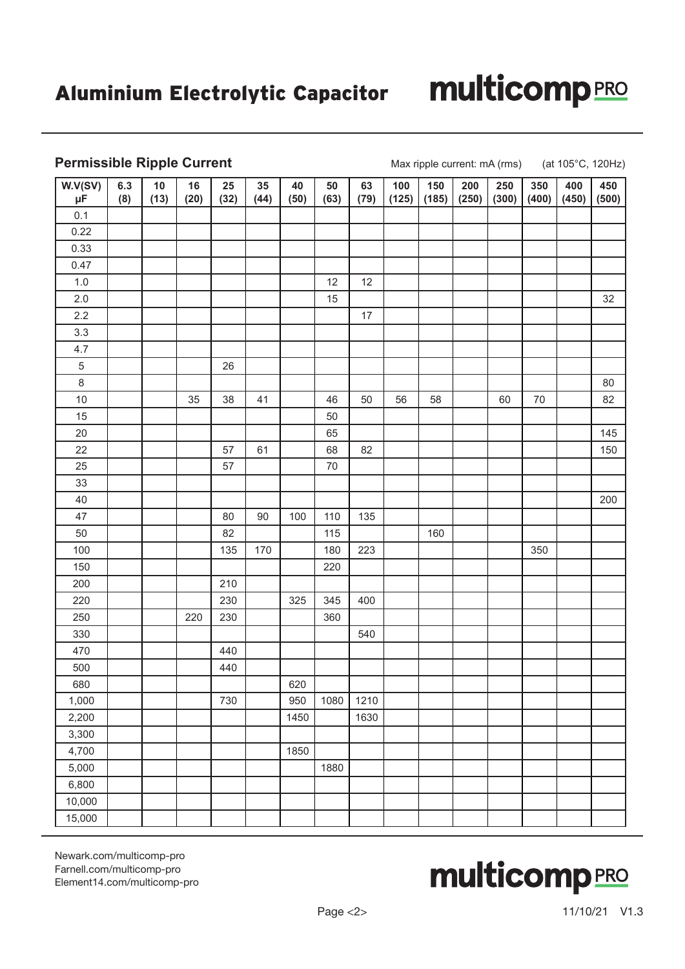# **multicomp**PRO

#### **Permissible Ripple Current** Max ripple current: mA (rms) (at 105°C, 120Hz)

| W.V(SV)<br>$\mu$ F | 6.3<br>(8) | 10<br>(13) | 16<br>(20) | 25<br>(32) | 35<br>(44) | 40<br>(50) | 50<br>(63) | 63<br>(79) | 100<br>(125) | 150<br>(185) | 200<br>(250) | 250<br>(300) | 350<br>(400) | 400<br>(450) | 450<br>(500) |
|--------------------|------------|------------|------------|------------|------------|------------|------------|------------|--------------|--------------|--------------|--------------|--------------|--------------|--------------|
| 0.1                |            |            |            |            |            |            |            |            |              |              |              |              |              |              |              |
| 0.22               |            |            |            |            |            |            |            |            |              |              |              |              |              |              |              |
| 0.33               |            |            |            |            |            |            |            |            |              |              |              |              |              |              |              |
| 0.47               |            |            |            |            |            |            |            |            |              |              |              |              |              |              |              |
| $1.0\,$            |            |            |            |            |            |            | 12         | 12         |              |              |              |              |              |              |              |
| 2.0                |            |            |            |            |            |            | 15         |            |              |              |              |              |              |              | 32           |
| 2.2                |            |            |            |            |            |            |            | $17$       |              |              |              |              |              |              |              |
| 3.3                |            |            |            |            |            |            |            |            |              |              |              |              |              |              |              |
| 4.7                |            |            |            |            |            |            |            |            |              |              |              |              |              |              |              |
| 5                  |            |            |            | 26         |            |            |            |            |              |              |              |              |              |              |              |
| $\bf 8$            |            |            |            |            |            |            |            |            |              |              |              |              |              |              | 80           |
| $10$               |            |            | 35         | 38         | 41         |            | 46         | 50         | 56           | 58           |              | 60           | 70           |              | 82           |
| 15                 |            |            |            |            |            |            | 50         |            |              |              |              |              |              |              |              |
| 20                 |            |            |            |            |            |            | 65         |            |              |              |              |              |              |              | 145          |
| 22                 |            |            |            | 57         | 61         |            | 68         | 82         |              |              |              |              |              |              | 150          |
| 25                 |            |            |            | 57         |            |            | $70\,$     |            |              |              |              |              |              |              |              |
| 33                 |            |            |            |            |            |            |            |            |              |              |              |              |              |              |              |
| 40                 |            |            |            |            |            |            |            |            |              |              |              |              |              |              | 200          |
| 47                 |            |            |            | 80         | $90\,$     | 100        | 110        | 135        |              |              |              |              |              |              |              |
| 50                 |            |            |            | 82         |            |            | 115        |            |              | 160          |              |              |              |              |              |
| 100                |            |            |            | 135        | 170        |            | 180        | 223        |              |              |              |              | 350          |              |              |
| 150                |            |            |            |            |            |            | 220        |            |              |              |              |              |              |              |              |
| 200                |            |            |            | 210        |            |            |            |            |              |              |              |              |              |              |              |
| 220                |            |            |            | 230        |            | 325        | 345        | 400        |              |              |              |              |              |              |              |
| 250                |            |            | 220        | 230        |            |            | 360        |            |              |              |              |              |              |              |              |
| 330                |            |            |            |            |            |            |            | 540        |              |              |              |              |              |              |              |
| 470                |            |            |            | 440        |            |            |            |            |              |              |              |              |              |              |              |
| 500                |            |            |            | 440        |            |            |            |            |              |              |              |              |              |              |              |
| 680                |            |            |            |            |            | 620        |            |            |              |              |              |              |              |              |              |
| 1,000              |            |            |            | 730        |            | 950        | 1080       | 1210       |              |              |              |              |              |              |              |
| 2,200              |            |            |            |            |            | 1450       |            | 1630       |              |              |              |              |              |              |              |
| 3,300              |            |            |            |            |            |            |            |            |              |              |              |              |              |              |              |
| 4,700              |            |            |            |            |            | 1850       |            |            |              |              |              |              |              |              |              |
| 5,000              |            |            |            |            |            |            | 1880       |            |              |              |              |              |              |              |              |
| 6,800              |            |            |            |            |            |            |            |            |              |              |              |              |              |              |              |
| 10,000             |            |            |            |            |            |            |            |            |              |              |              |              |              |              |              |
| 15,000             |            |            |            |            |            |            |            |            |              |              |              |              |              |              |              |

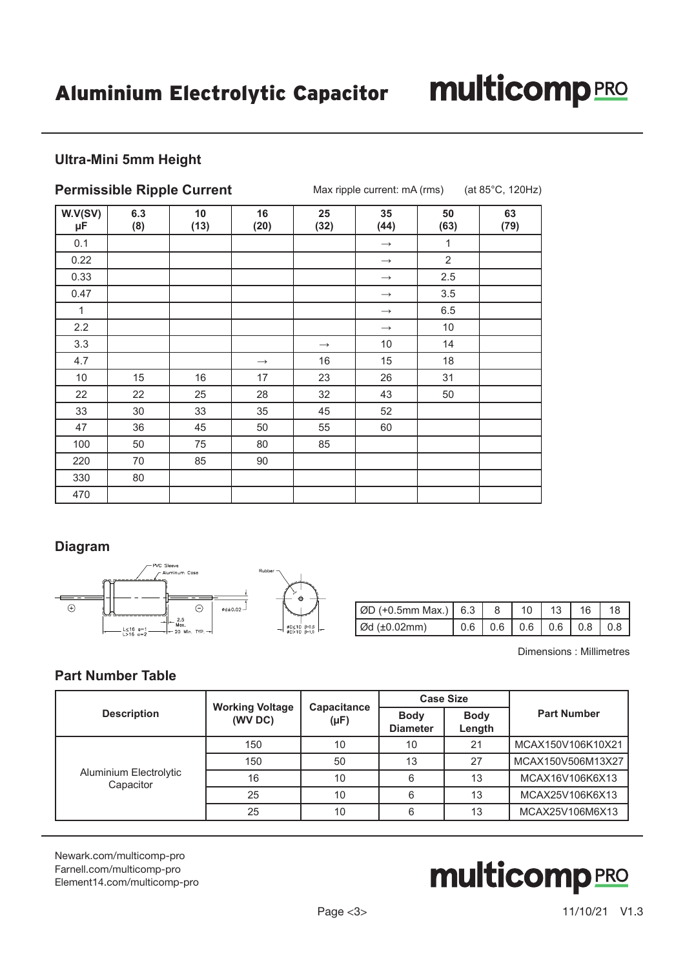## **multicomp**PRO

### **Ultra-Mini 5mm Height**

|               |            | <b>Permissible Ripple Current</b> |                   | (at 85°C, 120Hz)<br>Max ripple current: mA (rms) |                   |                |            |  |  |
|---------------|------------|-----------------------------------|-------------------|--------------------------------------------------|-------------------|----------------|------------|--|--|
| W.V(SV)<br>μF | 6.3<br>(8) | 10<br>(13)                        | 16<br>(20)        | 25<br>(32)                                       | 35<br>(44)        | 50<br>(63)     | 63<br>(79) |  |  |
| 0.1           |            |                                   |                   |                                                  | $\longrightarrow$ | 1              |            |  |  |
| 0.22          |            |                                   |                   |                                                  | $\longrightarrow$ | $\overline{2}$ |            |  |  |
| 0.33          |            |                                   |                   |                                                  | $\longrightarrow$ | 2.5            |            |  |  |
| 0.47          |            |                                   |                   |                                                  | $\longrightarrow$ | 3.5            |            |  |  |
| 1             |            |                                   |                   |                                                  | $\longrightarrow$ | 6.5            |            |  |  |
| 2.2           |            |                                   |                   |                                                  | $\longrightarrow$ | 10             |            |  |  |
| 3.3           |            |                                   |                   | $\longrightarrow$                                | 10                | 14             |            |  |  |
| 4.7           |            |                                   | $\longrightarrow$ | 16                                               | 15                | 18             |            |  |  |
| 10            | 15         | 16                                | 17                | 23                                               | 26                | 31             |            |  |  |
| 22            | 22         | 25                                | 28                | 32                                               | 43                | 50             |            |  |  |
| 33            | 30         | 33                                | 35                | 45                                               | 52                |                |            |  |  |
| 47            | 36         | 45                                | 50                | 55                                               | 60                |                |            |  |  |
| 100           | 50         | 75                                | 80                | 85                                               |                   |                |            |  |  |
| 220           | 70         | 85                                | 90                |                                                  |                   |                |            |  |  |
| 330           | 80         |                                   |                   |                                                  |                   |                |            |  |  |
| 470           |            |                                   |                   |                                                  |                   |                |            |  |  |

### **Diagram**



| $\vert$ ØD (+0.5mm Max.) $\vert$ 6.3 $\vert$ 8 |  | 10 <sup>1</sup> | 13 | 16                                                            |  |
|------------------------------------------------|--|-----------------|----|---------------------------------------------------------------|--|
| $\sigma$ d (±0.02mm)                           |  |                 |    | $\vert 0.6 \vert 0.6 \vert 0.6 \vert 0.6 \vert 0.8 \vert 0.8$ |  |

Dimensions : Millimetres

### **Part Number Table**

|                                     |                                   |                          |                                | <b>Case Size</b>      | <b>Part Number</b> |  |
|-------------------------------------|-----------------------------------|--------------------------|--------------------------------|-----------------------|--------------------|--|
| <b>Description</b>                  | <b>Working Voltage</b><br>(WV DC) | Capacitance<br>$(\mu F)$ | <b>Body</b><br><b>Diameter</b> | <b>Body</b><br>Length |                    |  |
| Aluminium Electrolytic<br>Capacitor | 150                               | 10                       | 10                             | 21                    | MCAX150V106K10X21  |  |
|                                     | 150                               | 50                       | 13                             | 27                    | MCAX150V506M13X27  |  |
|                                     | 16                                | 10                       | 6                              | 13                    | MCAX16V106K6X13    |  |
|                                     | 25                                | 10                       | 6                              | 13                    | MCAX25V106K6X13    |  |
|                                     | 25                                | 10                       | 6                              | 13                    | MCAX25V106M6X13    |  |

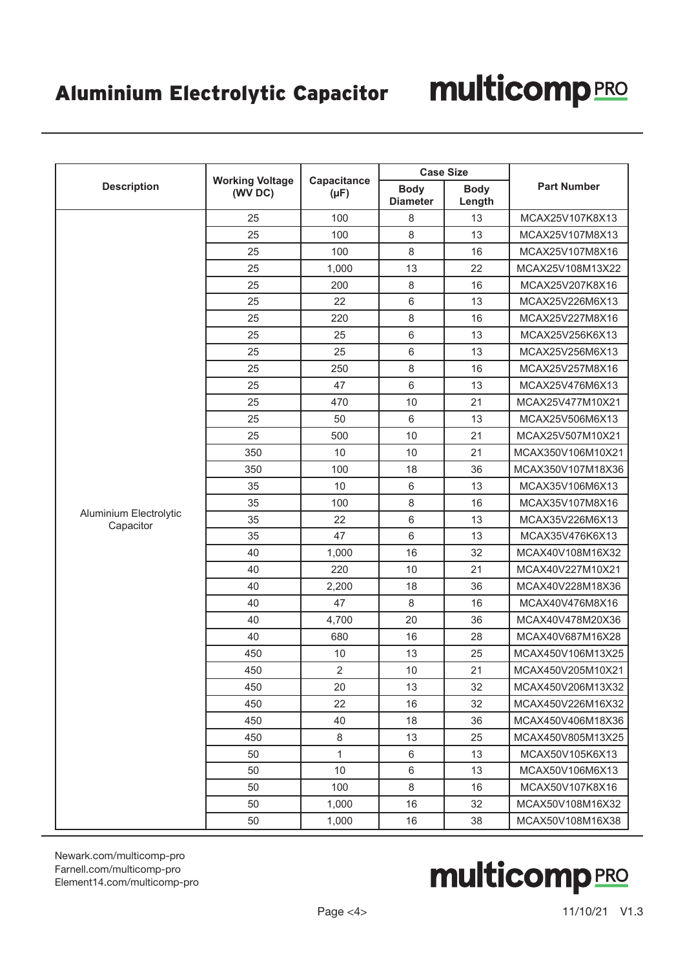|                                     |                                   |                          | <b>Case Size</b>               |                       | <b>Part Number</b> |  |
|-------------------------------------|-----------------------------------|--------------------------|--------------------------------|-----------------------|--------------------|--|
| <b>Description</b>                  | <b>Working Voltage</b><br>(WV DC) | Capacitance<br>$(\mu F)$ | <b>Body</b><br><b>Diameter</b> | <b>Body</b><br>Length |                    |  |
|                                     | 25                                | 100                      | 8                              | 13                    | MCAX25V107K8X13    |  |
|                                     | 25                                | 100                      | 8                              | 13                    | MCAX25V107M8X13    |  |
|                                     | 25                                | 100                      | 8                              | 16                    | MCAX25V107M8X16    |  |
|                                     | 25                                | 1,000                    | 13                             | 22                    | MCAX25V108M13X22   |  |
|                                     | 25                                | 200                      | 8                              | 16                    | MCAX25V207K8X16    |  |
|                                     | 25                                | 22                       | 6                              | 13                    | MCAX25V226M6X13    |  |
|                                     | 25                                | 220                      | 8                              | 16                    | MCAX25V227M8X16    |  |
|                                     | 25                                | 25                       | 6                              | 13                    | MCAX25V256K6X13    |  |
|                                     | 25                                | 25                       | 6                              | 13                    | MCAX25V256M6X13    |  |
|                                     | 25                                | 250                      | 8                              | 16                    | MCAX25V257M8X16    |  |
|                                     | 25                                | 47                       | 6                              | 13                    | MCAX25V476M6X13    |  |
|                                     | 25                                | 470                      | 10                             | 21                    | MCAX25V477M10X21   |  |
|                                     | 25                                | 50                       | 6                              | 13                    | MCAX25V506M6X13    |  |
|                                     | 25                                | 500                      | 10                             | 21                    | MCAX25V507M10X21   |  |
|                                     | 350                               | 10                       | 10                             | 21                    | MCAX350V106M10X21  |  |
|                                     | 350                               | 100                      | 18                             | 36                    | MCAX350V107M18X36  |  |
|                                     | 35                                | 10                       | $\,6$                          | 13                    | MCAX35V106M6X13    |  |
|                                     | 35                                | 100                      | 8                              | 16                    | MCAX35V107M8X16    |  |
| Aluminium Electrolytic<br>Capacitor | 35                                | 22                       | 6                              | 13                    | MCAX35V226M6X13    |  |
|                                     | 35                                | 47                       | 6                              | 13                    | MCAX35V476K6X13    |  |
|                                     | 40                                | 1,000                    | 16                             | 32                    | MCAX40V108M16X32   |  |
|                                     | 40                                | 220                      | 10                             | 21                    | MCAX40V227M10X21   |  |
|                                     | 40                                | 2,200                    | 18                             | 36                    | MCAX40V228M18X36   |  |
|                                     | 40                                | 47                       | $\,8\,$                        | 16                    | MCAX40V476M8X16    |  |
|                                     | 40                                | 4,700                    | 20                             | 36                    | MCAX40V478M20X36   |  |
|                                     | 40                                | 680                      | 16                             | 28                    | MCAX40V687M16X28   |  |
|                                     | 450                               | 10                       | 13                             | 25                    | MCAX450V106M13X25  |  |
|                                     | 450                               | $\overline{2}$           | 10                             | 21                    | MCAX450V205M10X21  |  |
|                                     | 450                               | 20                       | 13                             | 32                    | MCAX450V206M13X32  |  |
|                                     | 450                               | 22                       | 16                             | 32                    | MCAX450V226M16X32  |  |
|                                     | 450                               | 40                       | 18                             | 36                    | MCAX450V406M18X36  |  |
|                                     | 450                               | $\,8\,$                  | 13                             | 25                    | MCAX450V805M13X25  |  |
|                                     | 50                                | $\mathbf{1}$             | 6                              | 13                    | MCAX50V105K6X13    |  |
|                                     | 50                                | 10                       | 6                              | 13                    | MCAX50V106M6X13    |  |
|                                     | 50                                | 100                      | $\,8\,$                        | 16                    | MCAX50V107K8X16    |  |
|                                     | 50                                | 1,000                    | 16                             | 32                    | MCAX50V108M16X32   |  |
|                                     | 50                                | 1,000                    | 16                             | 38                    | MCAX50V108M16X38   |  |